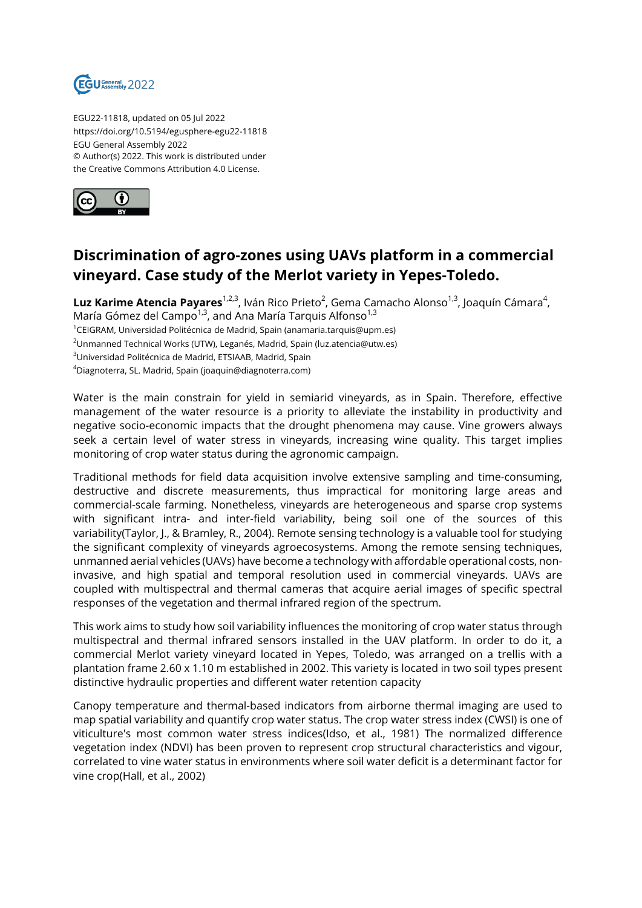

EGU22-11818, updated on 05 Jul 2022 https://doi.org/10.5194/egusphere-egu22-11818 EGU General Assembly 2022 © Author(s) 2022. This work is distributed under the Creative Commons Attribution 4.0 License.



## **Discrimination of agro-zones using UAVs platform in a commercial vineyard. Case study of the Merlot variety in Yepes-Toledo.**

**Luz Karime Atencia Payares**<sup>1,2,3</sup>, Iván Rico Prieto<sup>2</sup>, Gema Camacho Alonso<sup>1,3</sup>, Joaquín Cámara<sup>4</sup>, María Gómez del Campo<sup>1,3</sup>, and Ana María Tarquis Alfonso<sup>1,3</sup>

<sup>1</sup>CEIGRAM, Universidad Politécnica de Madrid, Spain (anamaria.tarquis@upm.es)

<sup>2</sup>Unmanned Technical Works (UTW), Leganés, Madrid, Spain (luz.atencia@utw.es)

<sup>3</sup>Universidad Politécnica de Madrid, ETSIAAB, Madrid, Spain

<sup>4</sup>Diagnoterra, SL. Madrid, Spain (joaquin@diagnoterra.com)

Water is the main constrain for yield in semiarid vineyards, as in Spain. Therefore, effective management of the water resource is a priority to alleviate the instability in productivity and negative socio-economic impacts that the drought phenomena may cause. Vine growers always seek a certain level of water stress in vineyards, increasing wine quality. This target implies monitoring of crop water status during the agronomic campaign.

Traditional methods for field data acquisition involve extensive sampling and time-consuming, destructive and discrete measurements, thus impractical for monitoring large areas and commercial-scale farming. Nonetheless, vineyards are heterogeneous and sparse crop systems with significant intra- and inter-field variability, being soil one of the sources of this variability(Taylor, J., & Bramley, R., 2004). Remote sensing technology is a valuable tool for studying the significant complexity of vineyards agroecosystems. Among the remote sensing techniques, unmanned aerial vehicles (UAVs) have become a technology with affordable operational costs, noninvasive, and high spatial and temporal resolution used in commercial vineyards. UAVs are coupled with multispectral and thermal cameras that acquire aerial images of specific spectral responses of the vegetation and thermal infrared region of the spectrum.

This work aims to study how soil variability influences the monitoring of crop water status through multispectral and thermal infrared sensors installed in the UAV platform. In order to do it, a commercial Merlot variety vineyard located in Yepes, Toledo, was arranged on a trellis with a plantation frame 2.60 x 1.10 m established in 2002. This variety is located in two soil types present distinctive hydraulic properties and different water retention capacity

Canopy temperature and thermal-based indicators from airborne thermal imaging are used to map spatial variability and quantify crop water status. The crop water stress index (CWSI) is one of viticulture's most common water stress indices(Idso, et al., 1981) The normalized difference vegetation index (NDVI) has been proven to represent crop structural characteristics and vigour, correlated to vine water status in environments where soil water deficit is a determinant factor for vine crop(Hall, et al., 2002)